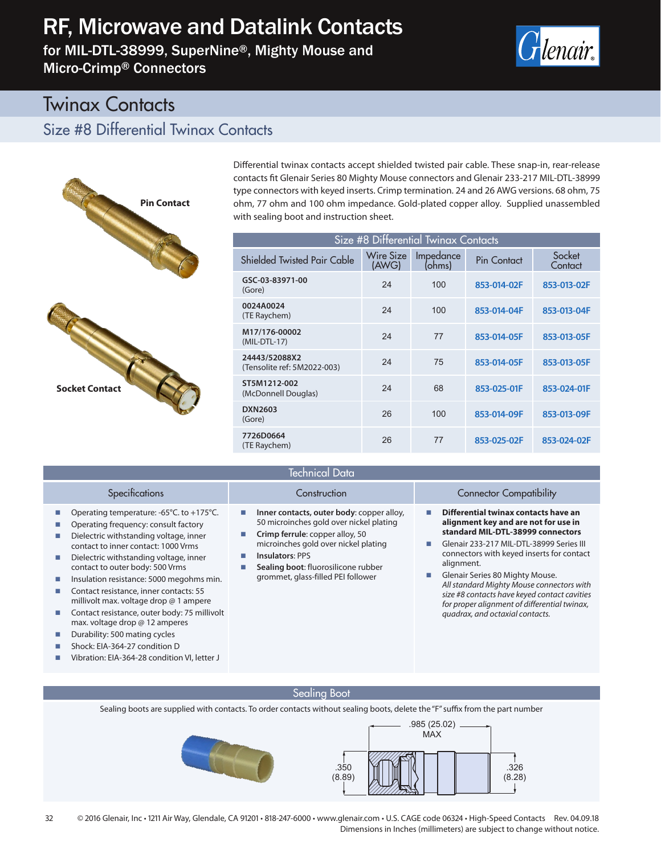# RF, Microwave and Datalink Contacts

for MIL-DTL-38999, SuperNine®, Mighty Mouse and Micro-Crimp® Connectors



# Twinax Contacts

### Size #8 Differential Twinax Contacts



Operating temperature: -65°C. to +175°C. Operating frequency: consult factory Dielectric withstanding voltage, inner contact to inner contact: 1000 Vrms Dielectric withstanding voltage, inner contact to outer body: 500 Vrms **IDED** Insulation resistance: 5000 megohms min. Contact resistance, inner contacts: 55 millivolt max. voltage drop @ 1 ampere ■ Contact resistance, outer body: 75 millivolt max. voltage drop @ 12 amperes **• Durability: 500 mating cycles** Shock: EIA-364-27 condition D

Vibration: EIA-364-28 condition VI, letter J

Differential twinax contacts accept shielded twisted pair cable. These snap-in, rear-release contacts fit Glenair Series 80 Mighty Mouse connectors and Glenair 233-217 MIL-DTL-38999 type connectors with keyed inserts. Crimp termination. 24 and 26 AWG versions. 68 ohm, 75 ohm, 77 ohm and 100 ohm impedance. Gold-plated copper alloy. Supplied unassembled with sealing boot and instruction sheet.

| Size #8 Differential Twinax Contacts         |                    |                     |             |                   |
|----------------------------------------------|--------------------|---------------------|-------------|-------------------|
| Shielded Twisted Pair Cable                  | Wire Size<br>(AWG) | Impedance<br>(ohms) | Pin Contact | Socket<br>Contact |
| GSC-03-83971-00<br>(Gore)                    | 24                 | 100                 | 853-014-02F | 853-013-02F       |
| 0024A0024<br>(TE Raychem)                    | 24                 | 100                 | 853-014-04F | 853-013-04F       |
| M17/176-00002<br>(MIL-DTL-17)                | 24                 | 77                  | 853-014-05F | 853-013-05F       |
| 24443/52088X2<br>(Tensolite ref: 5M2022-003) | 24                 | 75                  | 853-014-05F | 853-013-05F       |
| ST5M1212-002<br>(McDonnell Douglas)          | 24                 | 68                  | 853-025-01F | 853-024-01F       |
| <b>DXN2603</b><br>(Gore)                     | 26                 | 100                 | 853-014-09F | 853-013-09F       |
| 7726D0664<br>(TE Raychem)                    | 26                 | 77                  | 853-025-02F | 853-024-02F       |

### Technical Data

- **Inner contacts, outer body**: copper alloy, 50 microinches gold over nickel plating
- **Crimp ferrule**: copper alloy, 50 microinches gold over nickel plating
- **Insulators**: PPS
- **Sealing boot**: fluorosilicone rubber grommet, glass-filled PEI follower

#### Specifications Construction Construction Connector Compatibility

- **Differential twinax contacts have an alignment key and are not for use in standard MIL-DTL-38999 connectors**
- Glenair 233-217 MIL-DTL-38999 Series III connectors with keyed inserts for contact alignment.
- Glenair Series 80 Mighty Mouse. *All standard Mighty Mouse connectors with size #8 contacts have keyed contact cavities for proper alignment of differential twinax, quadrax, and octaxial contacts.*

#### Sealing Boot

Sealing boots are supplied with contacts. To order contacts without sealing boots, delete the "F" suffix from the part number

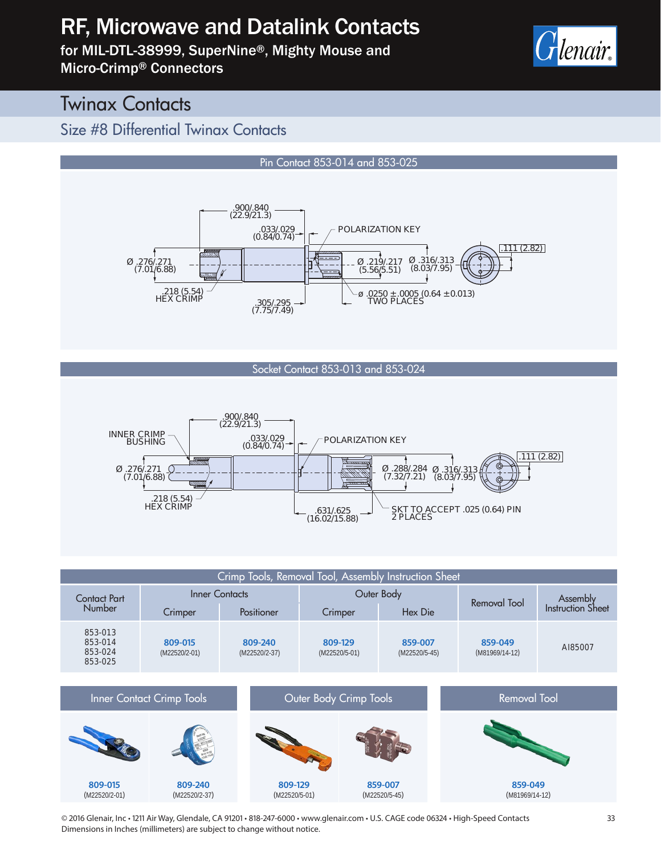# RF, Microwave and Datalink Contacts

for MIL-DTL-38999, SuperNine®, Mighty Mouse and Micro-Crimp® Connectors



# **Twinax Contacts**

(M22520/2-01)

(M22520/2-37)

### Size #8 Differential Twinax Contacts



#### Socket Contact 853-013 and 853-024





(M22520/5-45)

(M81969/14-12)

© 2016 Glenair, Inc • 1211 Air Way, Glendale, CA 91201 • 818-247-6000 • www.glenair.com • U.S. CAGE code 06324 • High-Speed Contacts Dimensions in Inches (millimeters) are subject to change without notice.

(M22520/5-01)